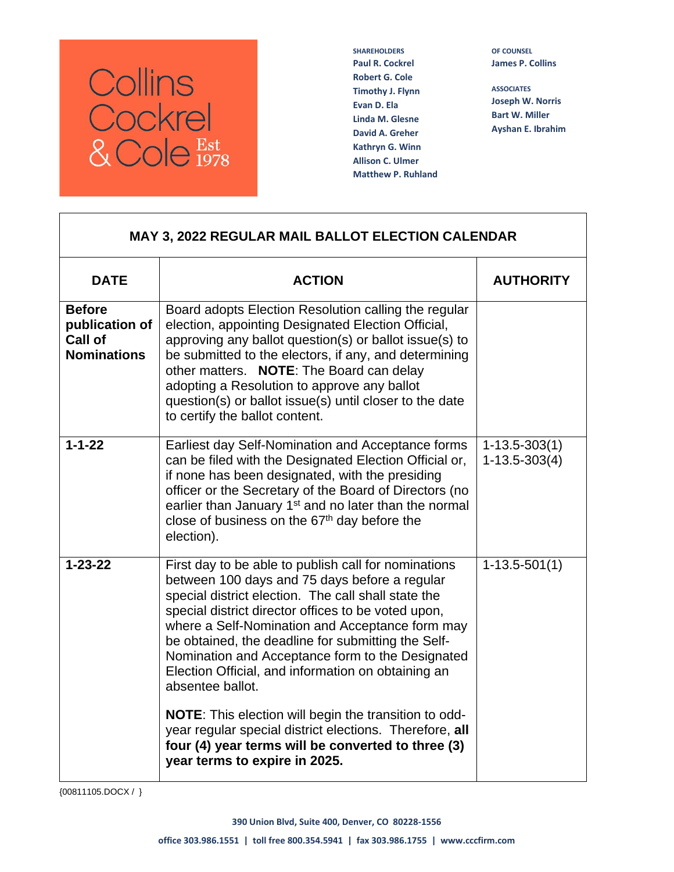

**SHAREHOLDERS Paul R. Cockrel Robert G. Cole Timothy J. Flynn Evan D. Ela Linda M. Glesne David A. Greher Kathryn G. Winn Allison C. Ulmer Matthew P. Ruhland** **OF COUNSEL James P. Collins**

**ASSOCIATES Joseph W. Norris Bart W. Miller Ayshan E. Ibrahim**

| <b>MAY 3, 2022 REGULAR MAIL BALLOT ELECTION CALENDAR</b>         |                                                                                                                                                                                                                                                                                                                                                                                                                                                                                                                                                                                                                                                                              |                                        |
|------------------------------------------------------------------|------------------------------------------------------------------------------------------------------------------------------------------------------------------------------------------------------------------------------------------------------------------------------------------------------------------------------------------------------------------------------------------------------------------------------------------------------------------------------------------------------------------------------------------------------------------------------------------------------------------------------------------------------------------------------|----------------------------------------|
| <b>DATE</b>                                                      | <b>ACTION</b>                                                                                                                                                                                                                                                                                                                                                                                                                                                                                                                                                                                                                                                                | <b>AUTHORITY</b>                       |
| <b>Before</b><br>publication of<br>Call of<br><b>Nominations</b> | Board adopts Election Resolution calling the regular<br>election, appointing Designated Election Official,<br>approving any ballot question(s) or ballot issue(s) to<br>be submitted to the electors, if any, and determining<br>other matters. NOTE: The Board can delay<br>adopting a Resolution to approve any ballot<br>question(s) or ballot issue(s) until closer to the date<br>to certify the ballot content.                                                                                                                                                                                                                                                        |                                        |
| $1 - 1 - 22$                                                     | Earliest day Self-Nomination and Acceptance forms<br>can be filed with the Designated Election Official or,<br>if none has been designated, with the presiding<br>officer or the Secretary of the Board of Directors (no<br>earlier than January 1 <sup>st</sup> and no later than the normal<br>close of business on the 67 <sup>th</sup> day before the<br>election).                                                                                                                                                                                                                                                                                                      | $1 - 13.5 - 303(1)$<br>$1-13.5-303(4)$ |
| $1 - 23 - 22$                                                    | First day to be able to publish call for nominations<br>between 100 days and 75 days before a regular<br>special district election. The call shall state the<br>special district director offices to be voted upon,<br>where a Self-Nomination and Acceptance form may<br>be obtained, the deadline for submitting the Self-<br>Nomination and Acceptance form to the Designated<br>Election Official, and information on obtaining an<br>absentee ballot.<br><b>NOTE:</b> This election will begin the transition to odd-<br>year regular special district elections. Therefore, all<br>four (4) year terms will be converted to three (3)<br>year terms to expire in 2025. | $1-13.5-501(1)$                        |

{00811105.DOCX / }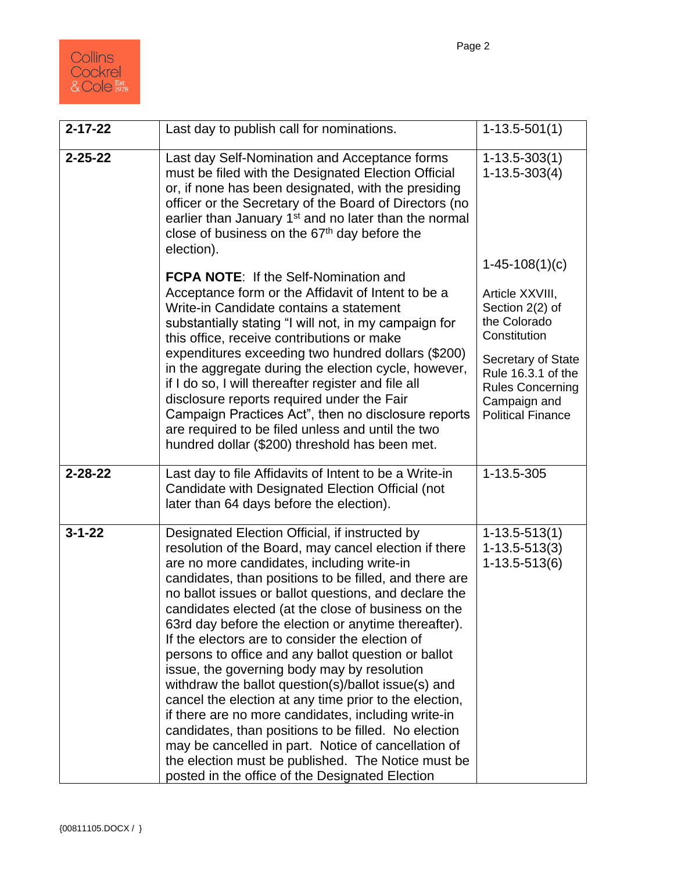

| $2 - 17 - 22$ | Last day to publish call for nominations.                                                                                                                                                                                                                                                                                                                                                                                                                                                                                                                                                                                                                                                                                                                                                                                                                                                                                                        | $1-13.5-501(1)$                                                                                                 |
|---------------|--------------------------------------------------------------------------------------------------------------------------------------------------------------------------------------------------------------------------------------------------------------------------------------------------------------------------------------------------------------------------------------------------------------------------------------------------------------------------------------------------------------------------------------------------------------------------------------------------------------------------------------------------------------------------------------------------------------------------------------------------------------------------------------------------------------------------------------------------------------------------------------------------------------------------------------------------|-----------------------------------------------------------------------------------------------------------------|
| $2 - 25 - 22$ | Last day Self-Nomination and Acceptance forms<br>must be filed with the Designated Election Official<br>or, if none has been designated, with the presiding<br>officer or the Secretary of the Board of Directors (no<br>earlier than January 1 <sup>st</sup> and no later than the normal<br>close of business on the 67 <sup>th</sup> day before the<br>election).                                                                                                                                                                                                                                                                                                                                                                                                                                                                                                                                                                             | $1 - 13.5 - 303(1)$<br>$1 - 13.5 - 303(4)$                                                                      |
|               | <b>FCPA NOTE:</b> If the Self-Nomination and<br>Acceptance form or the Affidavit of Intent to be a<br>Write-in Candidate contains a statement<br>substantially stating "I will not, in my campaign for<br>this office, receive contributions or make                                                                                                                                                                                                                                                                                                                                                                                                                                                                                                                                                                                                                                                                                             | $1-45-108(1)(c)$<br>Article XXVIII,<br>Section 2(2) of<br>the Colorado<br>Constitution                          |
|               | expenditures exceeding two hundred dollars (\$200)<br>in the aggregate during the election cycle, however,<br>if I do so, I will thereafter register and file all<br>disclosure reports required under the Fair<br>Campaign Practices Act", then no disclosure reports<br>are required to be filed unless and until the two<br>hundred dollar (\$200) threshold has been met.                                                                                                                                                                                                                                                                                                                                                                                                                                                                                                                                                                    | Secretary of State<br>Rule 16.3.1 of the<br><b>Rules Concerning</b><br>Campaign and<br><b>Political Finance</b> |
| $2 - 28 - 22$ | Last day to file Affidavits of Intent to be a Write-in<br>Candidate with Designated Election Official (not<br>later than 64 days before the election).                                                                                                                                                                                                                                                                                                                                                                                                                                                                                                                                                                                                                                                                                                                                                                                           | 1-13.5-305                                                                                                      |
| $3 - 1 - 22$  | Designated Election Official, if instructed by<br>resolution of the Board, may cancel election if there<br>are no more candidates, including write-in<br>candidates, than positions to be filled, and there are<br>no ballot issues or ballot questions, and declare the<br>candidates elected (at the close of business on the<br>63rd day before the election or anytime thereafter).<br>If the electors are to consider the election of<br>persons to office and any ballot question or ballot<br>issue, the governing body may by resolution<br>withdraw the ballot question(s)/ballot issue(s) and<br>cancel the election at any time prior to the election,<br>if there are no more candidates, including write-in<br>candidates, than positions to be filled. No election<br>may be cancelled in part. Notice of cancellation of<br>the election must be published. The Notice must be<br>posted in the office of the Designated Election | $1 - 13.5 - 513(1)$<br>$1 - 13.5 - 513(3)$<br>$1 - 13.5 - 513(6)$                                               |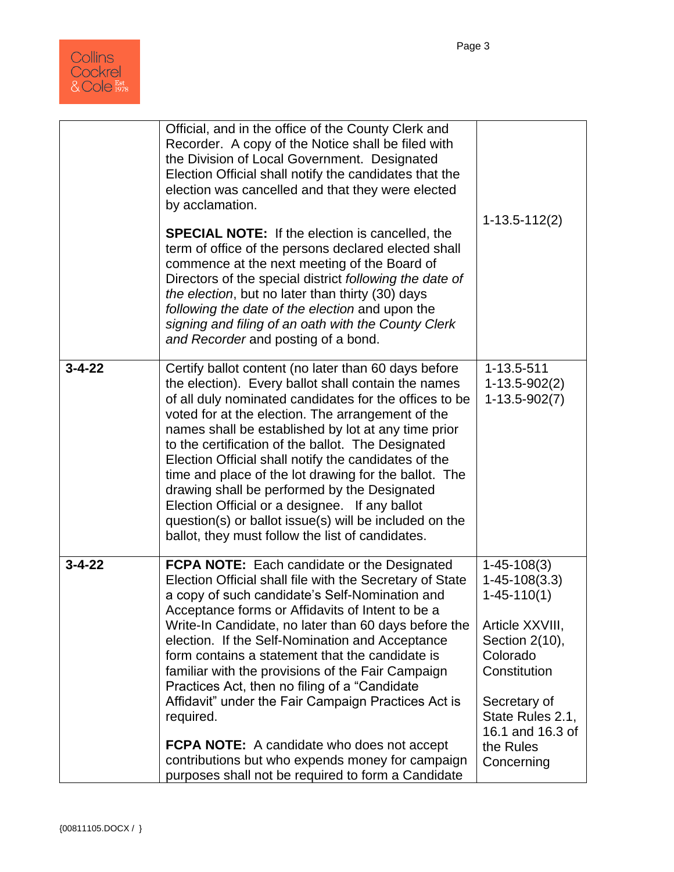

|              | Official, and in the office of the County Clerk and<br>Recorder. A copy of the Notice shall be filed with<br>the Division of Local Government. Designated<br>Election Official shall notify the candidates that the<br>election was cancelled and that they were elected<br>by acclamation.<br><b>SPECIAL NOTE:</b> If the election is cancelled, the<br>term of office of the persons declared elected shall<br>commence at the next meeting of the Board of<br>Directors of the special district following the date of<br>the election, but no later than thirty (30) days<br>following the date of the election and upon the<br>signing and filing of an oath with the County Clerk<br>and Recorder and posting of a bond. | $1 - 13.5 - 112(2)$                                                                                                                                                                                               |
|--------------|-------------------------------------------------------------------------------------------------------------------------------------------------------------------------------------------------------------------------------------------------------------------------------------------------------------------------------------------------------------------------------------------------------------------------------------------------------------------------------------------------------------------------------------------------------------------------------------------------------------------------------------------------------------------------------------------------------------------------------|-------------------------------------------------------------------------------------------------------------------------------------------------------------------------------------------------------------------|
| $3 - 4 - 22$ | Certify ballot content (no later than 60 days before<br>the election). Every ballot shall contain the names<br>of all duly nominated candidates for the offices to be<br>voted for at the election. The arrangement of the<br>names shall be established by lot at any time prior<br>to the certification of the ballot. The Designated<br>Election Official shall notify the candidates of the<br>time and place of the lot drawing for the ballot. The<br>drawing shall be performed by the Designated<br>Election Official or a designee. If any ballot<br>question(s) or ballot issue(s) will be included on the<br>ballot, they must follow the list of candidates.                                                      | 1-13.5-511<br>$1-13.5-902(2)$<br>$1-13.5-902(7)$                                                                                                                                                                  |
| $3 - 4 - 22$ | <b>FCPA NOTE:</b> Each candidate or the Designated<br>Election Official shall file with the Secretary of State<br>a copy of such candidate's Self-Nomination and<br>Acceptance forms or Affidavits of Intent to be a<br>Write-In Candidate, no later than 60 days before the<br>election. If the Self-Nomination and Acceptance<br>form contains a statement that the candidate is<br>familiar with the provisions of the Fair Campaign<br>Practices Act, then no filing of a "Candidate"<br>Affidavit" under the Fair Campaign Practices Act is<br>required.<br><b>FCPA NOTE:</b> A candidate who does not accept<br>contributions but who expends money for campaign<br>purposes shall not be required to form a Candidate  | $1 - 45 - 108(3)$<br>$1 - 45 - 108(3.3)$<br>$1 - 45 - 110(1)$<br>Article XXVIII,<br>Section 2(10),<br>Colorado<br>Constitution<br>Secretary of<br>State Rules 2.1,<br>16.1 and 16.3 of<br>the Rules<br>Concerning |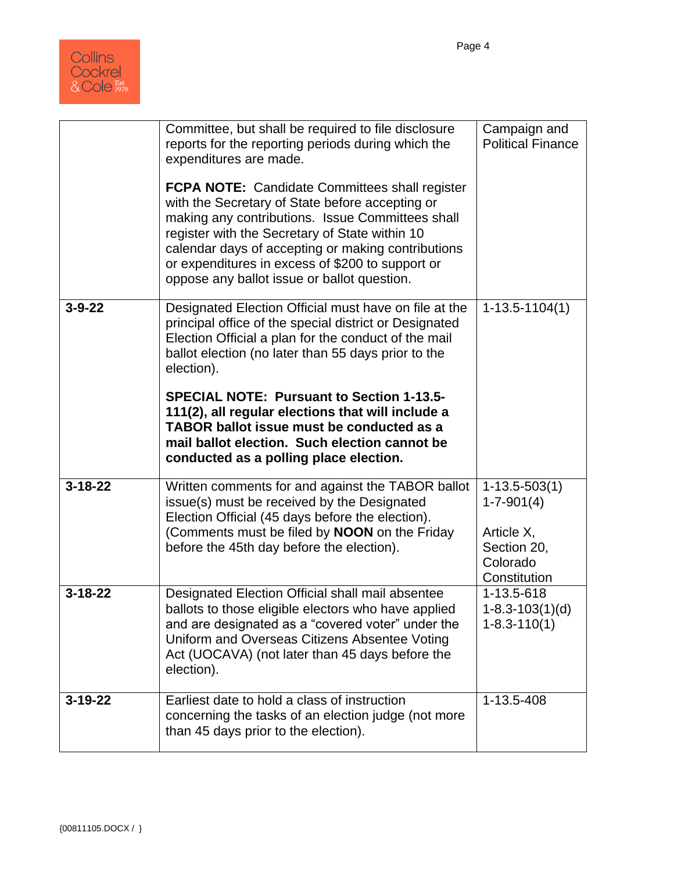

|               | Committee, but shall be required to file disclosure<br>reports for the reporting periods during which the<br>expenditures are made.                                                                                                                                                                                                                                     | Campaign and<br><b>Political Finance</b>                                                     |
|---------------|-------------------------------------------------------------------------------------------------------------------------------------------------------------------------------------------------------------------------------------------------------------------------------------------------------------------------------------------------------------------------|----------------------------------------------------------------------------------------------|
|               | <b>FCPA NOTE:</b> Candidate Committees shall register<br>with the Secretary of State before accepting or<br>making any contributions. Issue Committees shall<br>register with the Secretary of State within 10<br>calendar days of accepting or making contributions<br>or expenditures in excess of \$200 to support or<br>oppose any ballot issue or ballot question. |                                                                                              |
| $3 - 9 - 22$  | Designated Election Official must have on file at the<br>principal office of the special district or Designated<br>Election Official a plan for the conduct of the mail<br>ballot election (no later than 55 days prior to the<br>election).                                                                                                                            | $1-13.5-1104(1)$                                                                             |
|               | <b>SPECIAL NOTE: Pursuant to Section 1-13.5-</b><br>111(2), all regular elections that will include a<br>TABOR ballot issue must be conducted as a<br>mail ballot election. Such election cannot be<br>conducted as a polling place election.                                                                                                                           |                                                                                              |
| $3 - 18 - 22$ | Written comments for and against the TABOR ballot<br>issue(s) must be received by the Designated<br>Election Official (45 days before the election).<br>(Comments must be filed by <b>NOON</b> on the Friday<br>before the 45th day before the election).                                                                                                               | $1-13.5-503(1)$<br>$1 - 7 - 901(4)$<br>Article X,<br>Section 20,<br>Colorado<br>Constitution |
| $3 - 18 - 22$ | Designated Election Official shall mail absentee<br>ballots to those eligible electors who have applied<br>and are designated as a "covered voter" under the<br>Uniform and Overseas Citizens Absentee Voting<br>Act (UOCAVA) (not later than 45 days before the<br>election).                                                                                          | 1-13.5-618<br>$1 - 8.3 - 103(1)(d)$<br>$1 - 8.3 - 110(1)$                                    |
| $3 - 19 - 22$ | Earliest date to hold a class of instruction<br>concerning the tasks of an election judge (not more<br>than 45 days prior to the election).                                                                                                                                                                                                                             | 1-13.5-408                                                                                   |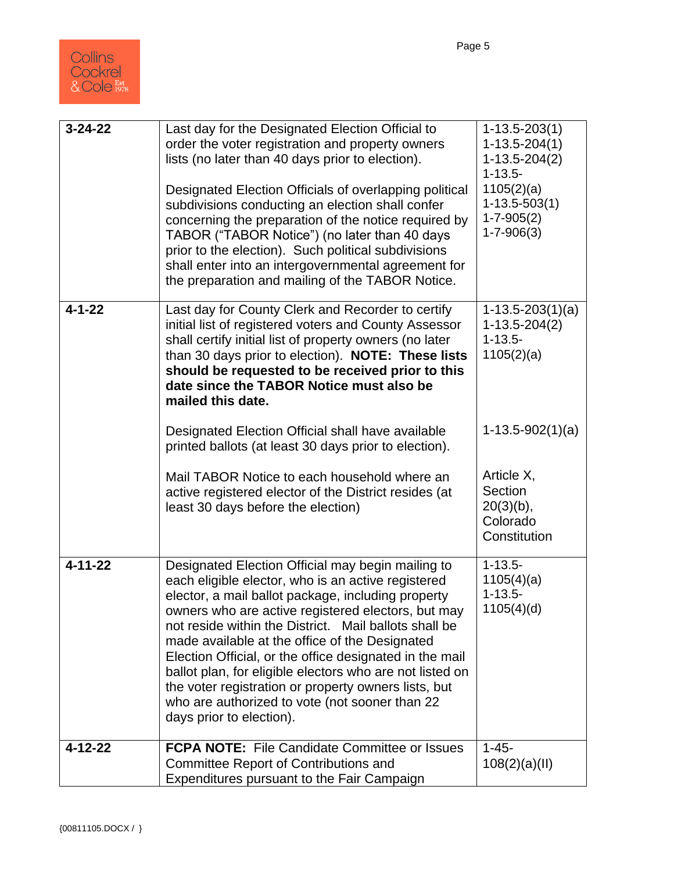| $3 - 24 - 22$ | Last day for the Designated Election Official to<br>order the voter registration and property owners<br>lists (no later than 40 days prior to election).<br>Designated Election Officials of overlapping political<br>subdivisions conducting an election shall confer<br>concerning the preparation of the notice required by<br>TABOR ("TABOR Notice") (no later than 40 days<br>prior to the election). Such political subdivisions<br>shall enter into an intergovernmental agreement for<br>the preparation and mailing of the TABOR Notice.                                           | $1 - 13.5 - 203(1)$<br>$1 - 13.5 - 204(1)$<br>$1-13.5-204(2)$<br>$1 - 13.5 -$<br>1105(2)(a)<br>$1-13.5-503(1)$<br>$1 - 7 - 905(2)$<br>$1 - 7 - 906(3)$ |
|---------------|---------------------------------------------------------------------------------------------------------------------------------------------------------------------------------------------------------------------------------------------------------------------------------------------------------------------------------------------------------------------------------------------------------------------------------------------------------------------------------------------------------------------------------------------------------------------------------------------|--------------------------------------------------------------------------------------------------------------------------------------------------------|
| $4 - 1 - 22$  | Last day for County Clerk and Recorder to certify<br>initial list of registered voters and County Assessor<br>shall certify initial list of property owners (no later<br>than 30 days prior to election). NOTE: These lists<br>should be requested to be received prior to this<br>date since the TABOR Notice must also be<br>mailed this date.                                                                                                                                                                                                                                            | $1-13.5-203(1)(a)$<br>$1-13.5-204(2)$<br>$1 - 13.5 -$<br>1105(2)(a)                                                                                    |
|               | Designated Election Official shall have available<br>printed ballots (at least 30 days prior to election).                                                                                                                                                                                                                                                                                                                                                                                                                                                                                  | $1-13.5-902(1)(a)$                                                                                                                                     |
|               | Mail TABOR Notice to each household where an<br>active registered elector of the District resides (at<br>least 30 days before the election)                                                                                                                                                                                                                                                                                                                                                                                                                                                 | Article X,<br>Section<br>$20(3)(b)$ ,<br>Colorado<br>Constitution                                                                                      |
| $4 - 11 - 22$ | Designated Election Official may begin mailing to<br>each eligible elector, who is an active registered<br>elector, a mail ballot package, including property<br>owners who are active registered electors, but may<br>not reside within the District. Mail ballots shall be<br>made available at the office of the Designated<br>Election Official, or the office designated in the mail<br>ballot plan, for eligible electors who are not listed on<br>the voter registration or property owners lists, but<br>who are authorized to vote (not sooner than 22<br>days prior to election). | $1 - 13.5 -$<br>1105(4)(a)<br>$1 - 13.5 -$<br>1105(4)(d)                                                                                               |
| 4-12-22       | <b>FCPA NOTE:</b> File Candidate Committee or Issues<br><b>Committee Report of Contributions and</b><br>Expenditures pursuant to the Fair Campaign                                                                                                                                                                                                                                                                                                                                                                                                                                          | $1 - 45 -$<br>108(2)(a)(II)                                                                                                                            |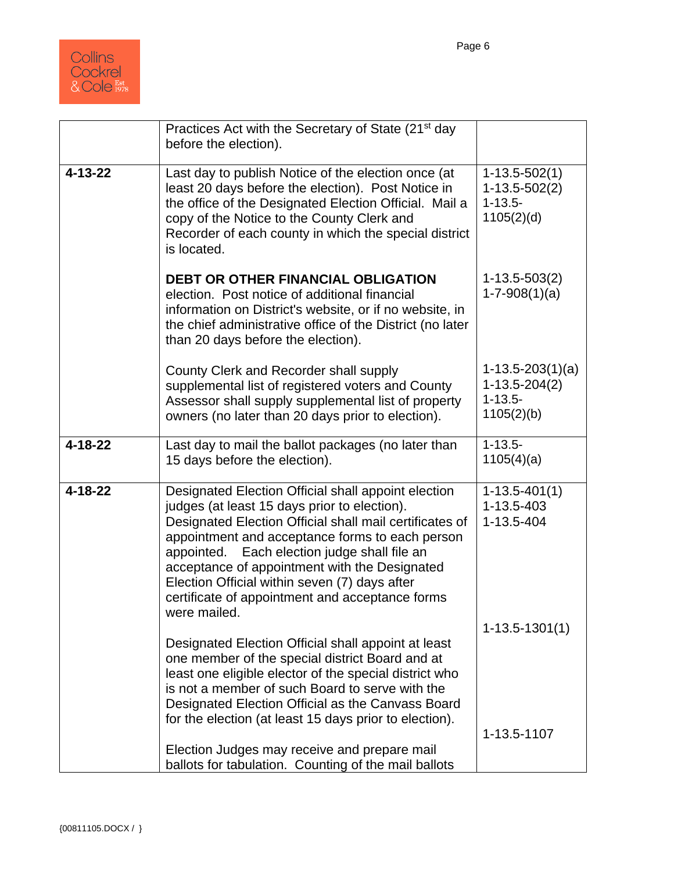

|               | Practices Act with the Secretary of State (21 <sup>st</sup> day<br>before the election).                                                                                                                                                                                                                                                                                                                                               |                                                                      |
|---------------|----------------------------------------------------------------------------------------------------------------------------------------------------------------------------------------------------------------------------------------------------------------------------------------------------------------------------------------------------------------------------------------------------------------------------------------|----------------------------------------------------------------------|
| $4 - 13 - 22$ | Last day to publish Notice of the election once (at<br>least 20 days before the election). Post Notice in<br>the office of the Designated Election Official. Mail a<br>copy of the Notice to the County Clerk and<br>Recorder of each county in which the special district<br>is located.                                                                                                                                              | $1 - 13.5 - 502(1)$<br>$1-13.5-502(2)$<br>$1 - 13.5 -$<br>1105(2)(d) |
|               | <b>DEBT OR OTHER FINANCIAL OBLIGATION</b><br>election. Post notice of additional financial<br>information on District's website, or if no website, in<br>the chief administrative office of the District (no later<br>than 20 days before the election).                                                                                                                                                                               | $1-13.5-503(2)$<br>$1-7-908(1)(a)$                                   |
|               | County Clerk and Recorder shall supply<br>supplemental list of registered voters and County<br>Assessor shall supply supplemental list of property<br>owners (no later than 20 days prior to election).                                                                                                                                                                                                                                | $1-13.5-203(1)(a)$<br>$1-13.5-204(2)$<br>$1 - 13.5 -$<br>1105(2)(b)  |
| $4 - 18 - 22$ | Last day to mail the ballot packages (no later than<br>15 days before the election).                                                                                                                                                                                                                                                                                                                                                   | $1 - 13.5 -$<br>1105(4)(a)                                           |
| $4 - 18 - 22$ | Designated Election Official shall appoint election<br>judges (at least 15 days prior to election).<br>Designated Election Official shall mail certificates of<br>appointment and acceptance forms to each person<br>appointed. Each election judge shall file an<br>acceptance of appointment with the Designated<br>Election Official within seven (7) days after<br>certificate of appointment and acceptance forms<br>were mailed. | $1 - 13.5 - 401(1)$<br>1-13.5-403<br>1-13.5-404                      |
|               | Designated Election Official shall appoint at least<br>one member of the special district Board and at<br>least one eligible elector of the special district who<br>is not a member of such Board to serve with the<br>Designated Election Official as the Canvass Board<br>for the election (at least 15 days prior to election).                                                                                                     | $1-13.5-1301(1)$                                                     |
|               | Election Judges may receive and prepare mail<br>ballots for tabulation. Counting of the mail ballots                                                                                                                                                                                                                                                                                                                                   | 1-13.5-1107                                                          |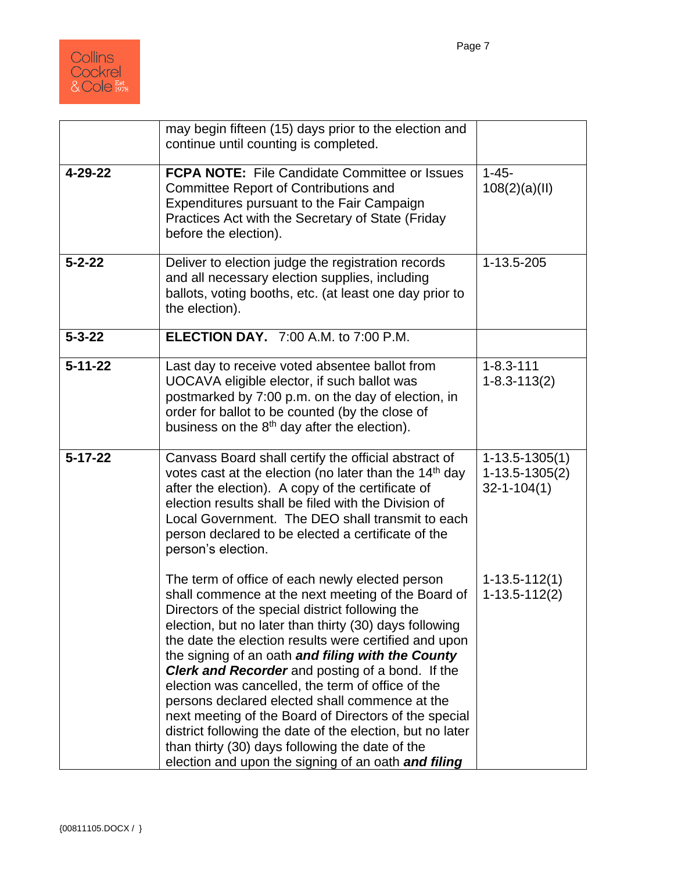

|               | may begin fifteen (15) days prior to the election and<br>continue until counting is completed.                                                                                                                                                                                                                                                                                                                                                                                                                                                                                                                                                                                                                              |                                                               |
|---------------|-----------------------------------------------------------------------------------------------------------------------------------------------------------------------------------------------------------------------------------------------------------------------------------------------------------------------------------------------------------------------------------------------------------------------------------------------------------------------------------------------------------------------------------------------------------------------------------------------------------------------------------------------------------------------------------------------------------------------------|---------------------------------------------------------------|
| 4-29-22       | <b>FCPA NOTE:</b> File Candidate Committee or Issues<br><b>Committee Report of Contributions and</b><br>Expenditures pursuant to the Fair Campaign<br>Practices Act with the Secretary of State (Friday<br>before the election).                                                                                                                                                                                                                                                                                                                                                                                                                                                                                            | $1 - 45 -$<br>108(2)(a)(II)                                   |
| $5 - 2 - 22$  | Deliver to election judge the registration records<br>and all necessary election supplies, including<br>ballots, voting booths, etc. (at least one day prior to<br>the election).                                                                                                                                                                                                                                                                                                                                                                                                                                                                                                                                           | 1-13.5-205                                                    |
| $5 - 3 - 22$  | <b>ELECTION DAY.</b> 7:00 A.M. to 7:00 P.M.                                                                                                                                                                                                                                                                                                                                                                                                                                                                                                                                                                                                                                                                                 |                                                               |
| $5 - 11 - 22$ | Last day to receive voted absentee ballot from<br>UOCAVA eligible elector, if such ballot was<br>postmarked by 7:00 p.m. on the day of election, in<br>order for ballot to be counted (by the close of<br>business on the 8 <sup>th</sup> day after the election).                                                                                                                                                                                                                                                                                                                                                                                                                                                          | $1 - 8.3 - 111$<br>$1 - 8.3 - 113(2)$                         |
| $5 - 17 - 22$ | Canvass Board shall certify the official abstract of<br>votes cast at the election (no later than the $14th$ day<br>after the election). A copy of the certificate of<br>election results shall be filed with the Division of<br>Local Government. The DEO shall transmit to each<br>person declared to be elected a certificate of the<br>person's election.                                                                                                                                                                                                                                                                                                                                                               | $1 - 13.5 - 1305(1)$<br>$1-13.5-1305(2)$<br>$32 - 1 - 104(1)$ |
|               | The term of office of each newly elected person<br>shall commence at the next meeting of the Board of<br>Directors of the special district following the<br>election, but no later than thirty (30) days following<br>the date the election results were certified and upon<br>the signing of an oath and filing with the County<br>Clerk and Recorder and posting of a bond. If the<br>election was cancelled, the term of office of the<br>persons declared elected shall commence at the<br>next meeting of the Board of Directors of the special<br>district following the date of the election, but no later<br>than thirty (30) days following the date of the<br>election and upon the signing of an oath and filing | $1 - 13.5 - 112(1)$<br>$1 - 13.5 - 112(2)$                    |